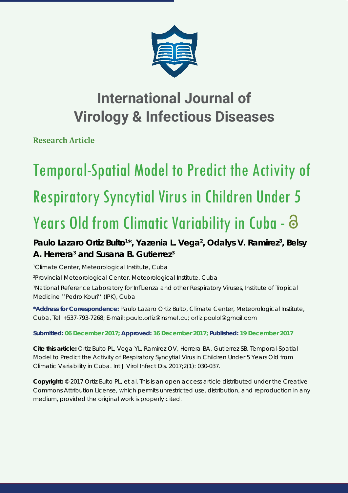

## **International Journal of Virology & Infectious Diseases**

**Research Article**

# Temporal-Spatial Model to Predict the Activity of Respiratory Syncytial Virus in Children Under 5 Years Old from Climatic Variability in Cuba -  $\Theta$

### Paulo Lazaro Ortiz Bulto<sup>1\*</sup>, Yazenia L. Vega<sup>2</sup>, Odalys V. Ramirez<sup>3</sup>, Belsy **A. Herrera3 and Susana B. Gutierrez3**

 *Climate Center, Meteorological Institute, Cuba Provincial Meteorological Center, Meteorological Institute, Cuba National Reference Laboratory for Infl uenza and other Respiratory Viruses, Institute of Tropical Medicine ''Pedro Kouri'' (IPK), Cuba*

**\*Address for Correspondence:** Paulo Lazaro Ortiz Bulto, Climate Center, Meteorological Institute, Cuba, Tel: +537-793-7268; E-mail: paulo.ortiz@insmet.cu; ortiz.paulol@gmail.com

**Submitted: 06 December 2017; Approved: 16 December 2017; Published: 19 December 2017**

**Cite this article:** Ortiz Bulto PL, Vega YL, Ramirez OV, Herrera BA, Gutierrez SB. Temporal-Spatial Model to Predict the Activity of Respiratory Syncytial Virus in Children Under 5 Years Old from Climatic Variability in Cuba. Int J Virol Infect Dis. 2017;2(1): 030-037.

**Copyright:** © 2017 Ortiz Bulto PL, et al. This is an open access article distributed under the Creative Commons Attribution License, which permits unrestricted use, distribution, and reproduction in any medium, provided the original work is properly cited.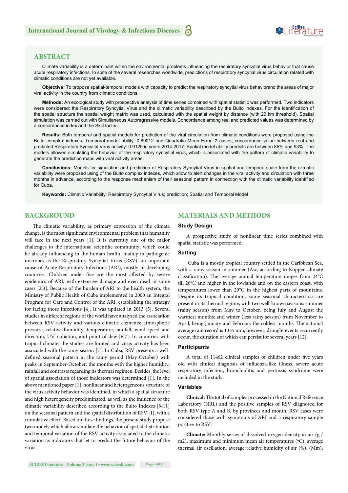#### **ABSTRACT**

Climate variability is a determinant within the environmental problems influencing the respiratory syncytial virus behavior that cause acute respiratory infections. In spite of the several researches worldwide, predictions of respiratory syncytial virus circulation related with climatic conditions are not yet available.

**Objective:** To propose spatial-temporal models with capacity to predict the respiratory syncytial virus behaviorand the areas of major viral activity in the country from climatic conditions.

**Methods:** An ecological study with prospective analysis of time series combined with spatial statistic was performed. Two indicators were considered: the Respiratory Syncytial Virus and the climatic variability described by the Bulto indexes. For the identification of the spatial structure the spatial weight matrix was used, calculated with the spatial weight by distance (with 20 km threshold). Spatial simulation was carried out with Simultaneous Autoregressive models. Concordance among real and predicted values was determined by a concordance index and the Skill factor.

**Results:** Both temporal and spatial models for prediction of the viral circulation from climatic conditions were proposed using the Bulto complex indexes. Temporal model ability: 0.89012 and Quadratic Mean Error: **7** cases; concordance value between real and predicted Respiratory Syncytial Virus activity: 0.9120 in years 2014-2017. Spatial model ability predicts are between 85% and 93%. The models allowed simulating the behavior of the respiratory syncytial virus, which is associated with the pattern of climatic variability to generate the prediction maps with viral activity areas.

**Conclusions:** Models for simulation and prediction of Respiratory Syncytial Virus in spatial and temporal scale from the climatic variability were proposed using of the Bulto complex indexes, which allow to alert changes in the viral activity and circulation with three months in advance, according to the response mechanism of their seasonal pattern in connection with the climatic variability identified for Cuba.

**Keywords:** Climatic Variability; Respiratory Syncytial Virus; prediction; Spatial and Temporal Model

#### **BACKGROUND**

The climatic variability, as primary expression of the climate change, is the most significant environmental problem that humanity will face in the next years [1]. It is currently one of the major challenges to the international scientific community, which could be already influencing in the human health, mainly in pathogenic microbes as the Respiratory Syncytial Virus (RSV), an important cause of Acute Respiratory Infections (ARI), mostly in developing countries. Children under five are the most affected by severe epidemics of ARI, with extensive damage and even dead in some cases [2,3]. Because of the burden of ARI to the health system, the Ministry of Public Health of Cuba implemented in 2000 an Integral Program for Care and Control of the ARI, establishing the strategy for facing those infections [4]. It was updated in 2013 [5]. Several studies in different regions of the world have analyzed the association between RSV activity and various climatic elements: atmospheric pressure, relative humidity, temperature, rainfall, wind speed and direction, UV radiation, and point of dew [6,7]. In countries with tropical climate, the studies are limited and virus activity has been associated with the rainy season [7]. In Cuba, RSV presents a welldefined seasonal pattern in the rainy period (May-October) with peaks in September-October, the months with the higher humidity, rainfall and contrasts regarding its thermal regimen. Besides, the level of spatial association of those indicators was determined [1]. In the above mentioned paper [1], nonlinear and heterogeneous structure of the virus activity behavior was identified, in which a spatial structure and high heterogeneity predominated, as well as the influence of the climatic variability described according to the Bulto Indexes [8-11] on the seasonal pattern and the spatial distribution of RSV [1], with a cumulative effect. Based on those findings, the present study propose two models which allow simulate the behavior of spatial distribution and temporal variation of the RSV activity associated to the climatic variation as indicators that let to predict the future behavior of the virus.

#### **MATERIALS AND METHODS**

#### **Study Design**

A prospective study of nonlinear time series combined with spatial statistic was performed.

#### **Setting**

Cuba is a mostly tropical country settled in the Caribbean Sea, with a rainy season in summer (Aw, according to Koppen climate classification). The average annual temperature ranges from  $24^{\circ}$ C till 26°C and higher in the lowlands and on the eastern coast, with temperatures lower than 20°C in the highest parts of mountains. Despite its tropical condition, some seasonal characteristics are present in its thermal regime, with two well-known seasons: summer (rainy season) from May to October, being July and August the warmest months; and winter (less rainy season) from November to April, being January and February the coldest months. The national average rain record is 1335 mm; however, drought events recurrently occur, the duration of which can persist for several years [12].

#### **Participants**

A total of 11462 clinical samples of children under five years old with clinical diagnosis of influenza-like illness, severe acute respiratory infection, bronchiolitis and pertussis syndrome were included in the study.

#### **Variables**

Clinical: The total of samples processed in the National Reference Laboratory (NRL) and the positive samples of RSV diagnosed for both RSV type A and B, by provinces and month. RSV cases were considered those with symptoms of ARI and a respiratory sample positive to RSV.

**Climate:** Monthly series of dissolved oxygen density in air (g / m2), maximum and minimum mean air temperatures (°C), average thermal air oscillation, average relative humidity of air (%), (Mm),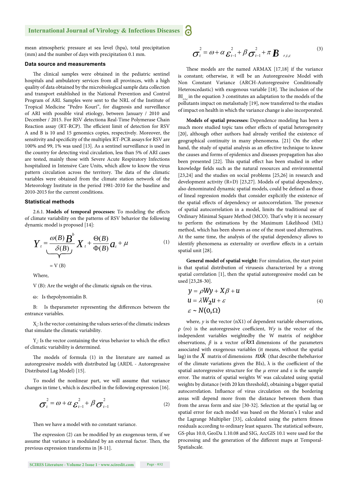#### **International Journal of Virology & Infectious Diseases** a

mean atmospheric pressure at sea level (hpa), total precipitation (mm) and the number of days with precipitation 0.1 mm.

#### **Data source and measurements**

The clinical samples were obtained in the pediatric sentinel hospitals and ambulatory services from all provinces, with a high quality of data obtained by the microbiological sample data collection and transport established in the National Prevention and Control Program of ARI. Samples were sent to the NRL of the Institute of Tropical Medicine "Pedro Kouri", for diagnosis and surveillance of ARI with possible viral etiology, between January / 2010 and December / 2015. For RSV detectiona Real-Time Polymerase Chain Reaction assay (RT-RCP). The efficient limit of detection for RSV A and B is 10 and 15 genomics copies, respectively. Moreover, the sensitivity and specificity of the multiplex RT-PCR assays for RSV are 100% and 99, 1% was used [13]. As a sentinel surveillance is used in the country for detecting viral circulation, less than 5% of ARI cases are tested, mainly those with Severe Acute Respiratory Infections hospitalized in Intensive Care Units, which allow to know the virus pattern circulation across the territory. The data of the climatic variables were obtained from the climate station network of the Meteorology Institute in the period 1981-2010 for the baseline and 2010-2015 for the current conditions.

#### **Statistical methods**

2.6.1. Models of temporal processes: To modeling the effects of climate variability on the patterns of RSV behavior the following dynamic model is proposed [14]:

$$
Y_{t} = \frac{\omega(B) B^{b}}{\delta(B)} X_{t} + \frac{\Theta(B)}{\Phi(B)} a_{t} + \mu
$$
  
= V (B) (1)

Where,

V (B): Are the weight of the climatic signals on the virus.

ɷ: Is thepolynomialin B.

B: Is theparameter representing the differences between the entrance variables.

 $\mathbf{X}_\mathsf{t}\text{: Is the vector containing the values series of the climatic indexes}$ that simulate the climatic variability.

 $Y_t$ : Is the vector containing the virus behavior to which the effect of climatic variability is determined.

The models of formula  $(1)$  in the literature are named as autoregressive models with distributed lag (ARDL - Autoregressive Distributed Lag Model) [15].

To model the nonlinear part, we will assume that variance changes in time t, which is described in the following expression [16].

$$
\sigma_t^2 = \omega + \alpha \varepsilon_{t-1}^2 + \beta \sigma_{t-1}^2
$$
 (2)

Then we have a model with no constant variance.

The expression  $(2)$  can be modified by an exogenous term, if we assume that variance is modulated by an external factor. Then, the previous expression transforms in [8-11].

$$
\sigma_t^2 = \omega + \alpha \varepsilon_{t-1}^2 + \beta \sigma_{t-1}^2 + \pi \boldsymbol{B}_{r,t,c}
$$
\n(3)

These models are the named ARMAX [17,18] if the variance is constant; otherwise, it will be an Autoregressive Model with Non Constant Variance (ARCH-Autoregressive Conditionally Heteroscedastic) with exogenous variable [18]. The inclusion of the  $BI_{\text{max}}$  in the equation 3 constitutes an adaptation to the models of the pollutants impact on metalsstudy [19], now transferred to the studies of impact on health in which the variance change is also incorporated.

**Models of spatial processes:** Dependence modeling has been a much more studied topic tans other effects of spatial heterogeneity [20], although other authors had already verified the existence of geographical continuity in many phenomena. [21] On the other hand, the study of spatial analysis as an effective technique to know the causes and forms of epidemics and diseases propagation has also been presented [22]. This spatial effect has been studied in other knowledge fields such as the natural resources and environmental [23,24] and the studies on social problems [25,26] in research and development activity (R+D) [23,27]. Models of spatial dependency, also denominated dynamic spatial models, could be defined as those of lineal regression models that consider explicitly the existence of the spatial effects of dependency or autocorrelation. The presence of spatial autocorrelation in a model, limits the traditional use of Ordinary Minimal Square Method (MCO). That's why it is necessary to perform the estimations by the Maximum Likelihood (ML) method, which has been shown as one of the most used alternatives. At the same time, the analysis of the spatial dependency allows to identify phenomena as externality or overflow effects in a certain spatial unit [28].

**General model of spatial weight:** For simulation, the start point is that spatial distribution of virusesis characterized by a strong spatial correlation [1], then the spatial autoregressive model can be used [23,28-30].

$$
y = \rho Wy + X\beta + u
$$
  
\n
$$
u = \lambda W_2 u + \varepsilon
$$
  
\n
$$
\varepsilon \sim N(0, \Omega)
$$
 (4)

where,  $y$  is the vector  $(nX1)$  of dependent variable observations,  $\rho$  (ro) is the autoregressive coefficient,  $Wy$  is the vector of the independent variables weightedby the W matrix of neighbor observations, *β* is a vector of *kx*1 dimensions of the parameters associated with exogenous variables (it means, without the spatial lag) in the *X* matrix of dimensions *nxk* (that describe thebehavior of the climate variations given the BIs),  $\lambda$  is the coefficient of the spatial autoregressive structure for the *μ* error and ε is the sample error. The matrix of spatial weights W was calculated using spatial weights by distance (with 20 km threshold), obtaining a bigger spatial autocorrelation. Influence of virus circulation on the bordering areas will depend more from the distance between them than from the areas form and size [30-32]. Selection at the spatial lag or spatial error for each model was based on the Moran's I value and the Lagrange Multiplier [33], calculated using the pattern fitness residuals according to ordinary least squares. The statistical software, GS-plus 10.0, GeoDa 1.10.08 and SIG, ArcGIS 10.1 were used for the processing and the generation of the different maps at Temporal-Spatialscale.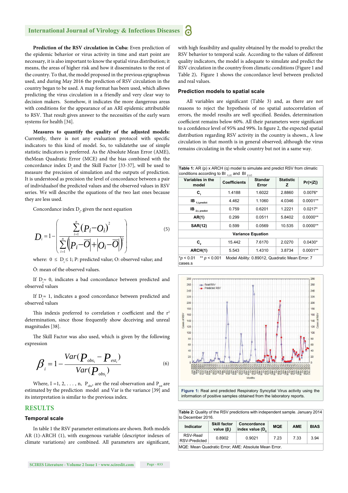Prediction of the RSV circulation in Cuba: Even prediction of the epidemic behavior or virus activity in time and start point are necessary, it is also important to know the spatial virus distribution; it means, the areas of higher risk and how it disseminates to the rest of the country. To that, the model proposed in the previous epigraphwas used, and during May 2016 the prediction of RSV circulation in the country began to be used. A map format has been used, which allows predicting the virus circulation in a friendly and very clear way to decision makers. Somehow, it indicates the more dangerous areas with conditions for the appearance of an ARI epidemic attributable to RSV. That result gives answer to the necessities of the early warn systems for health [34].

**Measures to quantify the quality of the adjusted models:**  Currently, there is not any evaluation protocol with specific indicators to this kind of model. So, to validatethe use of simple statistic indicators is preferred. As the Absolute Mean Error (AME), theMean Quadratic Error (MCE) and the bias combined with the concordance index D and the Skill Factor [33-37], will be used to measure the precision of simulation and the outputs of prediction. It is understood as precision the level of concordance between a pair of individualsof the predicted values and the observed values in RSV series. We will describe the equations of the two last ones because they are less used.

Concordance index  $D_i$ , given the next equation

$$
D_i = 1 - \left( \frac{\sum_{i=1}^n (P_i - O_i)^2}{\sum_{i=1}^n (P_i - \overline{O}| + |O_i - \overline{O}|)} \right)
$$
(5)

where:  $0 \le D \le 1$ ; P: predicted value; O: observed value; and

Ō: mean of the observed values.

If  $D_i \approx 0$ , indicates a bad concordance between predicted and observed values

If  $D_i \approx 1$ , indicates a good concordance between predicted and observed values

This indexis preferred to correlation r coefficient and the  $r^2$ determination, since those frequently show deceiving and unreal magnitudes [38].

The Skill Factor was also used, which is given by the following expression

$$
\beta_{i} = 1 - \frac{Var(\boldsymbol{P}_{obs_{i}} - \boldsymbol{P}_{est_{i}})}{Var(\boldsymbol{P}_{obs_{i}})}
$$
(6)

Where, I =1, 2, ..., n,  $P_{obs}$ , are the real observation and  $P_{est}$  are estimated by the prediction model and Var is the variance [39] and its interpretation is similar to the previous index.

#### **RESULTS**

#### **Temporal scale**

In table 1 the RSV parameter estimations are shown. Both models AR (1)-ARCH (1), with exogenous variable (descriptor indexes of climate variations) are combined. All parameters are significant, with high feasibility and quality obtained by the model to predict the RSV behavior to temporal scale. According to the values of different quality indicators, the model is adequate to simulate and predict the RSV circulation in the country from climatic conditions (Figure 1 and Table 2)**.** Figure 1 shows the concordance level between predicted and real values.

#### **Prediction models to spatial scale**

All variables are significant (Table 3) and, as there are not reasons to reject the hypothesis of no spatial autocorrelation of errors, the model results are well specified. Besides, determination coefficient remains below 60%. All their parameters were significant to a confidence level of 95% and 99%. In figure 2, the expected spatial distribution regarding RSV activity in the country is shown., A low circulation in that month is in general observed; although the virus remains circulating in the whole country but not in a same way.

| <b>Table 1:</b> AR (p) x ARCH (q) model to simulate and predict RSV from climatic<br>conditions according to BI <sub>1.1.C</sub> and BI <sub>2.t.C</sub> |                     |                  |                       |            |  |  |  |  |
|----------------------------------------------------------------------------------------------------------------------------------------------------------|---------------------|------------------|-----------------------|------------|--|--|--|--|
| Variables in the<br>model                                                                                                                                | <b>Coefficients</b> | Standar<br>Error | <b>Statistic</b><br>z | Pr(>  Z )  |  |  |  |  |
| C,                                                                                                                                                       | 1.4188              | 1.6022           | 2.8860                | $0.0076*$  |  |  |  |  |
| $IB$ <sub>1,t,predict</sub>                                                                                                                              | 4.462               | 1.1060           | 4.0346                | $0.0001**$ |  |  |  |  |
| IB<br>2.t. predict                                                                                                                                       | 0.759               | 0.6201           | 1.2221                | $0.0217*$  |  |  |  |  |
| AR(1)                                                                                                                                                    | 0.299               | 0.0511           | 5.8402                | $0.0000**$ |  |  |  |  |
| <b>SAR(12)</b>                                                                                                                                           | 0.599               | 0.0569           | 10.535                | $0.0000**$ |  |  |  |  |
| <b>Variance Equation</b>                                                                                                                                 |                     |                  |                       |            |  |  |  |  |
| C,                                                                                                                                                       | 15.442              | 7.6170           | 2.0270                | $0.0430*$  |  |  |  |  |
| ARCH(1)                                                                                                                                                  | 5.543               | 1.4310           | 3.8734                | $0.0001**$ |  |  |  |  |
| ** $p < 0.001$<br>$*_{p}$ < 0.01<br>Model Ability: 0.89012, Quadratic Mean Error: 7<br>cases.s                                                           |                     |                  |                       |            |  |  |  |  |



**Figure 1:** Real and predicted Respiratory Syncytial Virus activity using the information of positive samples obtained from the laboratory reports.

**Table 2:** Quality of the RSV predictions with independent sample. January 2014 to December 2016

| Indicator                                            | <b>Skill factor</b><br>value $(\beta)$ | Concordance<br>index value $(D_n)$ | <b>MOE</b> | <b>AME</b> | <b>BIAS</b> |  |  |
|------------------------------------------------------|----------------------------------------|------------------------------------|------------|------------|-------------|--|--|
| RSV-Real/<br>RSV-Predicted                           | 0.8902                                 | 0.9021                             | 7.23       | 7.33       | 3.94        |  |  |
| MQE: Mean Quadratic Error: AME: Absolute Mean Error. |                                        |                                    |            |            |             |  |  |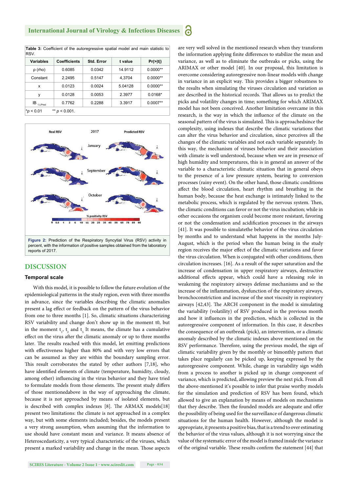Table 3: Coefficient of the autoregressive spatial model and main statistic to **Dev** 

| <b>Variables</b>                   | <b>Coefficients</b> | Std. Error | t value | $Pr(>\vert t \vert)$ |  |  |
|------------------------------------|---------------------|------------|---------|----------------------|--|--|
| $\rho$ (rho)                       | 0.6085              | 0.0342     | 14.9112 | $0.0000**$           |  |  |
| Constant                           | 2.2495              | 0.5147     | 4.3704  | $0.0000**$           |  |  |
| x                                  | 0.0123              | 0.0024     | 5.04128 | $0.0000**$           |  |  |
| у                                  | 0.0128              | 0.0053     | 2.3977  | $0.0168*$            |  |  |
| $IB_{1,t,Pred}$                    | 0.7762              | 0.2288     | 3.3917  | $0.0007**$           |  |  |
| ** $p < 0.001$ .<br>$*_{p}$ < 0.01 |                     |            |         |                      |  |  |



#### **DISCUSSION**

#### **Temporal scale**

With this model, it is possible to follow the future evolution of the epidemiological patterns in the study region, even with three months in advance, since the variables describing the climatic anomalies present a lag effect or feedback on the pattern of the virus behavior from one to three months [1]. So, climatic situations characterizing RSV variability and change don't show up in the moment t0, but in the moment  $t_1$ ,  $t_2$  and  $t_3$ . It means, the climate has a cumulative effect on the virus after the climatic anomaly or up to three months later. The results reached with this model, let emitting predictions with effectiveness higher than 80% and with very low errors that can be assumed as they are within the boundary sampling error. This result corroborates the stated by other authors  $[7,18]$ , who have identified elements of climate (temperature, humidity, cloudy, among other) influencing in the virus behavior and they have tried to formulate models from those elements. The present study differs of those mentionedabove in the way of approaching the climate, because it is not approached by means of isolated elements, but is described with complex indexes [8]. The ARMAX models[18] present two limitations: the climate is not approached in a complex way, but with some elements included; besides, the models present a very strong assumption, when assuming that the information to use should have constant mean and variance. It means absence of Heteroscedasticity, a very typical characteristic of the viruses, which present a marked variability and change in the mean. Those aspects

the information applying finite differences to stabilize the mean and variance, as well as to eliminate the outbreaks or picks, using the ARIMAX or other model [40]. In our proposal, this limitation is overcome considering autoregressive non-linear models with change in variance in an explicit way. This provides a bigger robustness to the results when simulating the viruses circulation and variation as are described in the historical records. That allows us to predict the picks and volatility changes in time; something for which ARIMAX model has not been conceived. Another limitation overcame in this research, is the way in which the influence of the climate on the seasonal pattern of the virus is simulated. This is approachedsince the complexity, using indexes that describe the climatic variations that can alter the virus behavior and circulation, since perceives all the changes of the climatic variables and not each variable separately. In this way, the mechanism of viruses behavior and their association with climate is well understood, because when we are in presence of high humidity and temperatures, this is in general an answer of the variable to a characteristic climatic situation that in general obeys to the presence of a low pressure system, bearing to conversion processes (rainy event). On the other hand, those climatic conditions affect the blood circulation, heart rhythm and breathing in the human body, because the heat exchange is intimately linked to the metabolic process, which is regulated by the nervous system. Then, the climatic conditions can favor or not the virus incubation; while in other occasions the organism could become more resistant, favoring or not the condensation and acidification processes in the airways [41]. It was possible to simulatethe behavior of the virus circulation by months and to understand what happens in the months July-August, which is the period when the human being in the study region receives the major effect of the climatic variations and favor the virus circulation. When is conjugated with other conditions, then circulation increases. [16]. As a result of the super saturation and the increase of condensation in upper respiratory airways, destructive additional effects appear, which could have a releasing role in weakening the respiratory airways defense mechanisms and so the increase of the inflammation, dysfunction of the respiratory airways, bronchoconstriction and increase of the snot viscosity in respiratory airways [42,43]. The ARCH component in the model is simulating the variability (volatility) of RSV produced in the previous month and how it influences in the prediction, which is collected in the autoregressive component of information. In this case, it describes the consequence of an outbreak (pick), an intervention, or a climatic anomaly described by the climatic indexes above mentioned on the RSV performance. Therefore, using the previous model, the sign of climatic variability given by the monthly or bimonthly pattern that takes place regularly can be picked up, keeping expressed by the autoregressive component. While, change in variability sign width from a process to another is picked up in change component of variance, which is predicted, allowing preview the next pick. From all the above-mentioned it's possible to infer that praise worthy models for the simulation and prediction of RSV has been found, which allowed to give an explanation by means of models on mechanisms that they describe. Then the founded models are adequate and offer the possibility of being used for the surveillance of dangerous climatic situations for the human health. However, although the model is appropriate, it presents a positive bias, that is a trend to over estimating the behavior of the virus values, although it is not worrying since the value of the systematic error of the model is framed inside the variance of the original variable. These results confirm the statement [44] that

are very well solved in the mentioned research when they transform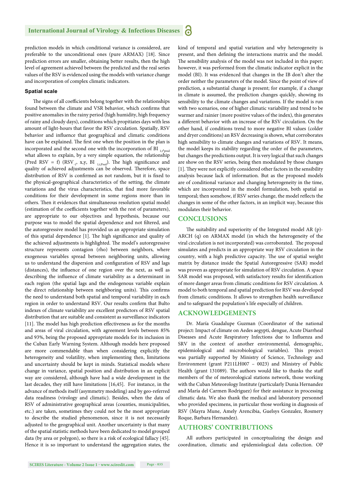prediction models in which conditional variance is considered, are preferable to the unconditional ones (pure ARMAX) [18]. Since prediction errors are smaller, obtaining better results, then the high level of agreement achieved between the predicted and the real series values of the RSV is evidenced using the models with variance change and incorporation of complex climatic indicators.

#### **Spatial scale**

The signs of all coefficients belong together with the relationships found between the climate and VSR behavior, which confirms that positive anomalies in the rainy period (high humidity, high frequency of rainy and cloudy days), conditions which propitiates days with less amount of light-hours that favor the RSV circulation. Spatially, RSV behavior and influence that geographical and climatic conditions have can be explained. The first one when the position in the plan is incorporated and the second one with the incorporation of BI  $_{1,t^{\prime} \text{pred}}$ what allows to explain, by a very simple equation, the relationship (Pred RSV = f) (RSV<sub>-1</sub>, x,y, BI<sub>1,t,Pred</sub>). The high significance and quality of achieved adjustments can be observed. Therefore, space distribution of RSV is confirmed as not random, but it is fixed to the physical-geographical characteristics of the setting, the climate variations and the virus characteristics, that find more favorable conditions for their development in some regions more than in others. Then it evidences that simultaneous resolution spatial model (estimation of the coefficients together with the rest of parameters), are appropriate to our objectives and hypothesis, because our purpose was to model the spatial dependence and not filtered, and the autoregressive model has provided us an appropriate simulation of this spatial dependence [1]. The high significance and quality of the achieved adjustments is highlighted. The model's autoregressive structure represents contagion (rho) between neighbors, where exogenous variables spread between neighboring units, allowing us to understand the dispersion and configuration of RSV and lags (distances), the influence of one region over the next, as well as describing the influence of climate variability as a determinant in each region (the spatial lags and the endogenous variable explain the direct relationship between neighboring units). This confirms the need to understand both spatial and temporal variability in each region in order to understand RSV. Our results confirm that Bulto indexes of climate variability are excellent predictors of RSV spatial distribution that are suitable and consistent as surveillance indicators [11]. The model has high prediction effectiveness as for the months and areas of viral circulation, with agreement levels between 85% and 93%, being the proposed appropriate models for its inclusion in the Cuban Early Warning System. Although models here proposed are more commendable than when considering explicitly the heterogeneity and volatility, when implementing then, limitations and uncertainty should be kept in minds. Statistical models where change in variance, spatial position and distribution in an explicit way are considered, although have had a wide development in the last decades, they still have limitations [16,45]. For instance, in the advance of methods itself (asymmetry modeling) and by geo-referred data readiness (virology and climatic). Besides, when the data of RSV of administrative geographical areas (counties, municipalities, etc.) are taken, sometimes they could not be the most appropriate to describe the studied phenomenon, since it is not necessarily adjusted to the geographical unit. Another uncertainty is that many of the spatial statistic methods have been dedicated to model grouped data (by area or polygon), so there is a risk of ecological fallacy [45]. Hence it is so important to understand the aggregation states, the kind of temporal and spatial variation and why heterogeneity is present, and then defining the interactions matrix and the model. The sensibility analysis of the model was not included in this paper; however, it was performed from the climatic indicator explicit in the model (BI). It was evidenced that changes in the IB don't alter the order neither the parameters of the model. Since the point of view of prediction, a substantial change is present; for example, if a change in climate is assumed, the prediction changes quickly, showing its sensibility to the climate changes and variations. If the model is run with two scenarios, one of higher climatic variability and trend to be warmer and rainier (more positive values of the index), this generates a different behavior with an increase of the RSV circulation. On the other hand, if conditions trend to more negative BI values (colder and dryer conditions) an RSV decreasing is shown, what corroborates high sensibility to climate changes and variations of RSV. It means, the model keeps its stability regarding the order of the parameters, but changes the predictions output. It is very logical that such changes are show on the RSV series, being then modulated by those changes [1]. They were not explicitly considered other factors in the sensibility analysis because lack of information. But as the proposed models are of conditional variance and changing heterogeneity in the time, which are incorporated in the model formulation, both spatial as temporal; then somehow, if RSV series change, the model reflects the changes in some of the other factors, in an implicit way, because this modulates their behavior.

#### **CONCLUSIONS**

The suitability and superiority of the Integrated model AR  $(p)$ -ARCH (q) on ARMAX model (in which the heterogeneity of the viral circulation is not incorporated) was corroborated. The proposal simulates and predicts in an appropriate way RSV circulation in the country, with a high predictive capacity. The use of spatial weight matrix by distance inside the Spatial Autoregressive (SAR) model was proven as appropriate for simulation of RSV circulation. A space SAR model was proposed, with satisfactory results for identification of more danger areas from climatic conditions for RSV circulation. A model to both temporal and spatial prediction for RSV was developed from climatic conditions. It allows to strengthen health surveillance and to safeguard the population's life especially of children.

#### **ACKNOWLEDGEMENTS**

Dr. María Guadalupe Guzman (Coordinator of the national project: Impact of climate on Aedes aegypti, dengue, Acute Diarrheal Diseases and Acute Respiratory Infections due to Influenza and SRV in the context of another environmental, demographic, epidemiological and microbiological variables). This project was partially supported by Ministry of Science, Technology and Environment (grant P211LH007 – 0023) and Ministry of Public Health (grant 131089). The authors would like to thanks the staff members of the of meteorological stations network, those working with the Cuban Meteorology Institute (particularly Dunia Hernandez and María del Carmen Rodriguez) for their assistance in processing climatic data. We also thank the medical and laboratory personnel who provided specimens, in particular those working in diagnosis of RSV (Mayra Mune, Amely Arencibia, Guelsys Gonzalez, Rosmery Roque, Barbara Hernandez).

#### **AUTHORS' CONTRIBUTIONS**

All authors participated in conceptualizing the design and coordination, climatic and epidemiological data collection. OP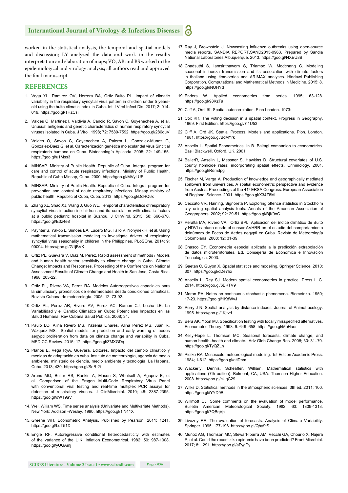worked in the statistical analysis, the temporal and spatial models and discussion; LY analyzed the data and work in the results interpretation and elaboration of maps; VO, AB and BS worked in the epidemiological and virology analysis; all authors read and approved the final manuscript.

#### **REFERENCES**

- 1. Vega YL, Ramirez OV, Herrera BA, Ortiz Bulto PL. Impact of climatic variability in the respiratory syncytial virus pattern in children under 5 yearsold using the bulto climatic index in Cuba. Int J Virol Infect Dis. 2017; 2: 014- 019. https://goo.gl/THzCsi
- 2. Valdes O, Martinez I, Valdivia A, Cancio R, Savon C, Goyenechea A, et al. Unusual antigenic and genetic characteristics of human respiratory syncytial viruses isolated in Cuba. J Virol. 1998; 72: 7589-7592. https://goo.gl/286quV
- 3. Valdés O, Savon C, Goyenechea A, Palerm L, Gonzalez-Munoz G, Gonzalez-Baez G, et al. Caracterización genética molecular del virus Sincitial respiratorio humano en Cuba. Biotecnología Aplicada. 2005; 22: 149-155. https://goo.gl/u1Mss3
- 4. MINSAP. Ministry of Public Health. Republic of Cuba. Integral program for care and control of acute respiratory infections. Ministry of Public Health. Republic of Cuba Minsap, Cuba. 2000. https://goo.gl/MVyLUF
- 5. MINSAP. Ministry of Public Health. Republic of Cuba. Integral program for prevention and control of acute respiratory infections. Minsap ministry of public health. Republic of Cuba, Cuba. 2013. https://goo.gl/DcHQ6x
- 6. Zhang XL, Shao XJ, Wang J, Guo WL. Temporal characteristics of respiratory syncytial virus infection in children and its correlation with climatic factors at a public pediatric hospital in Suzhou. J ClinVirol. 2013; 58: 666-670. https://goo.gl/E3z4e8
- 7. Paynter S, Yakob L, Simoes EA, Lucero MG, Tallo V, Nohynek H, et al. Using mathematical transmission modeling to investigate drivers of respiratory syncytial virus seasonality in children in the Philippines. PLoSOne. 2014; 9: 90094. https://goo.gl/G1jBVK
- 8. Ortiz PL. Guevara V. Diaz M, Perez. Rapid assessment of methods / Models and human health sector sensitivity to climate change in Cuba. Climate Change: Impacts and Responses. Proceeding of the Conference on National Assessment Results of Climate Change and Health in San Jose, Costa Rica. 1998; 203-22.
- 9. Ortiz PL, Rivero VA, Perez RA. Modelos Autorregresivos espaciales para la simulacióny pronósticos de enfermedades desde condiciones climáticas. Revista Cubana de meteorología. 2005; 12: 73-92.
- 10. Ortíz PL, Perez AR, Rivero AV, Perez AC, Ramon CJ, Lecha LE. La Variabilidad y el Cambio Climático en Cuba: Potenciales Impactos en las Salud Humana. Rev Cubana Salud Pública. 2008; 34.
- 11. Paulo LO, Alina Rivero MS, Yazenia Linares, Alina Pérez MS, Juan R. Vázquez MS. Spatial models for prediction and early warning of aedes aegypti proliferation from data on climate change and variability in Cuba. MEDICC Review. 2015; 17. https://goo.gl/ZMXGDq
- 12. Planos E, Vega RyA, Guevara, Editores. Impacto del cambio climático y medidas de adaptación en cuba. Instituto de meteorología, agencia de medio ambiente, ministerio de ciencia, medio ambiente y tecnología. La Habana, Cuba. 2013; 430. https://goo.gl/SeRt2i
- 13. Arens MQ, Buller RS, Rankin A, Mason S, Whetsell A, Agapov E, et al. Comparison of the Eragen Multi-Code Respiratory Virus Panel with conventional viral testing and real-time multiplex PCR assays for detection of respiratory viruses. J ClinMicrobiol. 2010; 48: 2387-2395. https://goo.gl/dWT9aV
- 14. Wei, Wiliam WS. Time series analysis (Univariate and Multivariate Methods). New York: Addison -Wesley. 1990. https://goo.gl/1iN41X
- 15. Greene WH. Econometric Analysis. Published by Pearson. 2011; 1241. https://goo.gl/LuT51X
- 16. Engle RF. Autoregressive conditional heterocedasticity with estimates of the variance of the U.K. Inflation Econometrical. 1982; 50: 987-1008. https://goo.gl/yUGAmj
- 17. Ray J, Brownstein J. Nowcasting influenza outbreaks using open-source media reports. SANDIA REPORT.SAND2013-0963. Prepared by Sandia National Laboratories Albuquerque. 2013. https://goo.gl/NXEU8B
- 18. Chadsuthi S, Iamsirithaworn S, Triampo W, Modchang C. Modeling seasonal influenza transmission and its association with climate factors in thailand using time-series and ARIMAX analyses. Hindawi Publishing Corporation. Computational and Mathematical Methods in Medicine. 2015; 8. https://goo.gl/iNUHYd
- 19. Enders W. Applied econometrics time series. 1995; 63-128. https://goo.gl/98KzTa
- 20. Cliff A, Ord JK. Spatial autocorrelation. Pion London. 1973:
- 21. Cox KR. The voting decision in a spatial context. Progress in Geography, 1969. First Edition. https://goo.gl/7i1U53
- 22. Cliff A, Ord JK. Spatial Process. Models and applications. Pion. London. 1981. https://goo.gl/BcMYrk
- 23. Anselin L. Spatial Econometrics. In B. Baltagi companion to econometrics. Basil Blackwell, Oxford, UK. 2001.
- 24. BallerR, Anselin L, Messner S, Hawkins D. Structural covariates of U.S. county homicide rates: incorporating spatial effects. Criminology. 2001. https://goo.gl/Rdmdpg
- 25. Fischer M, Varga A. Production of knowledge and geographically mediated spillovers from universities. A spatial econometric perspective and evidence from Austria. Proceedings of the 41º ERSA Congress. European Association of Regional Science. 2001. https://goo.gl/X34Z8M
- 26. Ceccato VR, Haining, Signoreta P. Exploring offence statistics in Stockholm city using spatial analysis tools. Annals of the American Association of Geographers. 2002; 92: 29-51. https://goo.gl/BjK9oC
- 27. Peralta MA, Rivero VA, Ortíz BPL. Aplicación del índice climático de Bultó y NDVI captado desde el sensor AVHRR en el estudio del comportamiento delnúmero de Focos de Aedes aegypti en Cuba. Revista de Meteorología Colombiana. 2008; 12: 31-39.
- 28. Chasco CY. Econometria especial aplicada a la predicción extrapolación de datos microterritoriales. Ed. Consejería de Económica e Innovación Tecnológica. 2003.
- 29. Gaetan C, Guyon X. Spatial statistics and modeling. Springer Science. 2010; 307. https://goo.gl/cDe7hx
- 30. Anselin L, Rey SJ. Modern spatial econometrics in practice. Press LLC. 2014. https://goo.gl/6BKTV9
- 31. Moran PA. Notes on continuous stochastic phenomena. Biometrika. 1950; 17-23. https://goo.gl/1KdWvJ
- 32. Perry J N. Spatial analysis by distance indexes. Journal of Animal ecology. 1995. https://goo.gl/1Kjtvd
- 33. Bera AK, Yoon MJ. Specification testing with locally misspecified alternatives. Econometric Theory. 1993; 9: 649–658. https://goo.gl/MoHaor
- 34. Kelly-Hope L, Thomson MC. Seasonal forecasts, climate change, and human health–health and climate. Adv Glob Change Res. 2008; 30: 31–70. https://goo.gl/TyQZLn
- 35. Pielke RA. Mesoscale meteorological modeling. 1st Edition Academic Press. 1984; 1-612. https://goo.gl/atiDnm
- 36. Wackerly, Dennis, Scheaffer, William. Mathematical statistics with applications (7th edition). Belmont, CA, USA: Thomson Higher Education. 2008. https://goo.gl/cUqC29
- 37. Wilks D. Statistical methods in the atmospheric sciences. 3th ed. 2011; 100. https://goo.gl/iYYD9B
- 38. Willmott CJ. Some comments on the evaluation of model performance. Bulletin American Meteorological Society. 1982; 63: 1309-1313. https://goo.gl/7QBqVp
- 39. Livezey RE. The evaluation of forecasts. Analysis of Climate Variability. Springer. 1995; 177-196. https://goo.gl/Qhy9tS
- 40. Muñoz AG, Thomson MC, Stewart-Ibarra AM, Vecchi GA, Chourio X, Nájera P, et al. Could the recent zika epidemic have been predicted? Front Microbiol. 2017; 8: 1291. https://goo.gl/aFygPy